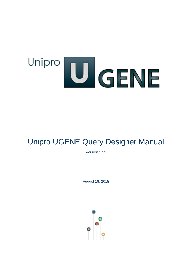# Unipro U GENE

# Unipro UGENE Query Designer Manual

Version 1.31

August 18, 2018

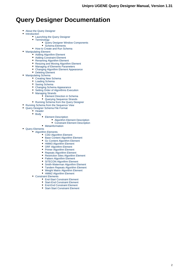# **Query Designer Documentation**

- $\bullet$ [About the Query Designer](#page-1-0)
- $\bullet$ [Introduction](#page-2-0)
	- [Launching the Query Designer](#page-3-0)
	- [Terminology](#page-4-0)
		- [Query Designer Window Components](#page-4-1)
	- [Schema Elements](#page-4-2) [How to Create and Run Schema](#page-5-0)
	-
- [Manipulating Element](#page-8-0)
	- [Adding Algorithm Element](#page-9-0) [Adding Constraint Element](#page-9-1)
	- [Renaming Algorithm Element](#page-10-0)
	- [Resizing and Moving Algorithm Element](#page-10-1)
	- [Managing of Elements Parameters](#page-10-2)
	- [Changing Algorithm Element Appearance](#page-11-0)
- [Deleting Element](#page-12-0)
- [Manipulating Schema](#page-12-1)
	- [Creating New Schema](#page-13-0)
	- [Loading Schema](#page-13-1)
	- [Saving Schema](#page-13-2)
	- [Changing Schema Appearance](#page-13-3)
	- [Setting Order of Algorithms Execution](#page-14-0)
	- [Managing Strands](#page-14-1)
		- **[Element Direction in Schema](#page-15-0)**
		- [Querying Sequence Strands](#page-15-1)
	- [Running Schema from the Query Designer](#page-16-0)
- [Running Schema from the Sequence View](#page-16-1)
	- [Query Designer Schema File Format](#page-18-0)
		- [Header](#page-19-0)
			- $\bullet$  [Body](#page-19-1)
				- [Element Description](#page-20-0)
					- [Algorithm Element Description](#page-20-1)
					- [Constraint Element Description](#page-21-0)
				- [Metainformation](#page-22-0)
- <span id="page-1-0"></span>[Query Elements](#page-22-1) • [Algorithm Elements](#page-23-0)
	- [CDD Algorithm Element](#page-23-1)
	- [Base Content Algorithm Element](#page-24-0)
	- $\bullet$ [Gc Content Algorithm Element](#page-24-1)
	- [HMM3 Algorithm Element](#page-25-0)
	- [ORF Algorithm Element](#page-26-0)
	- $\bullet$ [Primer Algorithm Element](#page-27-0)
	- [Repeats Algorithm Element](#page-28-0)
	- [Restriction Sites Algorithm Element](#page-29-0)
	- [Pattern Algorithm Element](#page-30-0)
	- [SITECON Algorithm Element](#page-30-1)
	- $\bullet$ [Smith-Waterman Algorithm Element](#page-31-0)
	- [Tandem Repeats Algorithm Element](#page-32-0)
	- [Weight Matrix Algorithm Element](#page-33-0)
	- [HMM2 Algorithm Element](#page-34-0)
	- [Constraint Elements](#page-34-1)
		- [End-Start Constraint Element](#page-35-0)
		- [Start-End Constraint Element](#page-35-1)
		- [End-End Constraint Element](#page-36-0)
		- [Start-Start Constraint Element](#page-37-0)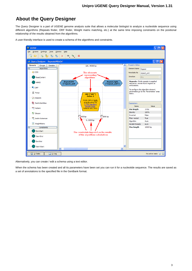# **About the Query Designer**

The Query Designer is a part of UGENE genome analysis suite that allows a molecular biologist to analyze a nucleotide sequence using different algorithms (Repeats finder, ORF finder, Weight matrix matching, etc.) at the same time imposing constraints on the positional relationship of the results obtained from the algorithms.



A user-friendly interface is used to create a schema of the algorithms and constraints.

Alternatively, you can create / edit a schema using a text editor.

<span id="page-2-0"></span>When the schema has been created and all its parameters have been set you can run it for a nucleotide sequence. The results are saved as a set of annotations to the specified file in the GenBank format.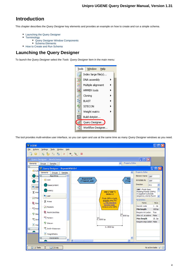# **Introduction**

This chapter describes the Query Designer key elements and provides an example on how to create and run a simple schema.

- [Launching the Query Designer](#page-3-0)
- [Terminology](#page-4-0)
	- [Query Designer Window Components](#page-4-1)
- [Schema Elements](#page-4-2)
- [How to Create and Run Schema](#page-5-0)

# <span id="page-3-0"></span>**Launching the Query Designer**

To launch the Query Designer select the Tools Query Designer item in the main menu:



The tool provides multi-window user interface, so you can open and use at the same time as many Query Designer windows as you need.

| <b>U</b> UGENE                                                                             | $\Box$ $\Box$ $\times$                               |
|--------------------------------------------------------------------------------------------|------------------------------------------------------|
| Tools<br>Window<br><b>Eile</b><br>Actions<br>Settings<br>Help                              |                                                      |
| $\circledast$ . $\circledast$<br>ħ<br>瞺<br>$\mathfrak{r}_0$<br>$\mathbb{R}$<br>Ò<br>Þ<br>ط |                                                      |
| Query Designer - NewSchema                                                                 | $\Box$ o $\times$                                    |
| Property Editor<br>$\overline{\phantom{a}}$<br>Elements<br>Groups<br>Samples               |                                                      |
| ⊟<br>U Query Designer - RepeatsWithOrf                                                     | $\Box$ ek                                            |
| <b>多 CDD</b><br>ᄾ<br>Elements<br>Groups<br>Samples                                         | Property Editor                                      |
| 日<br><b>Algorithms</b><br>$\overline{\phantom{a}}$<br><b>Ba</b>                            | Element Name <sub>ORF</sub>                          |
| <b>Repeat.left</b><br>Rep<br>$\bigcirc$ CDD<br>("rep<br>("repeat_unit<br>HM                | Annotate As<br><b>ORF</b>                            |
| <b>BaseContent</b><br><b>I</b> JORF                                                        | <b>Direction</b><br>Any<br>v                         |
| HMM3<br>ORF ("ORF")<br><b>※ Prim</b>                                                       | ㅅ<br>ORF: Finds Open<br>Reading Frames (ORFs)        |
| Order: 2<br><b>U</b> ORF<br>$\infty$ Rep<br>Finds ORFs in both                             | in supplied nucleotide<br>sequence, stores found     |
| strands using the<br>& Primer<br>1. The Standard<br><b>R</b> Res                           | Parameters<br>Value<br>Name                          |
| Genetic Code.<br><b>X</b> Repeats<br>Detects only ORFs                                     | Genetic code<br>$1$ de                               |
| <b>ACG</b> Pat                                                                             | Min length<br>100 bp                                 |
| <b>RestrictionSites</b><br><sup>2</sup> 9 Site<br>$0$ 5000 bp                              | Require init codon<br>True<br>Allow ale codons False |
| <b>ACG</b> Pattern<br>$0$ 5000 bp<br>SW <sub>Smi</sub>                                     | <b>Max length</b><br>10bp                            |
| <sup>Q</sup> Sitecon<br>$\Sigma$ Wei                                                       | Require stop codon False                             |
| $0.5000$ bp<br>SW Smith-Waterman                                                           |                                                      |
| $\Sigma$ WeightMatrix                                                                      |                                                      |
| Constraints<br>Ξ<br>$\checkmark$                                                           |                                                      |
| $\overline{\left\langle \right\rangle }$<br>$\rightarrow$<br>IIII.                         |                                                      |
| 2: Tasks<br><b>1</b> 3: Log                                                                | No active tasks $\mathcal{G}$                        |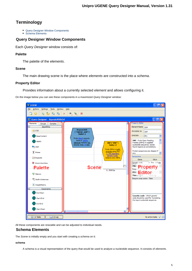# <span id="page-4-0"></span>**Terminology**

- [Query Designer Window Components](#page-4-1)
- [Schema Elements](#page-4-2)

## <span id="page-4-1"></span>**Query Designer Window Components**

Each Query Designer window consists of:

#### **Palette**

The palette of the elements.

#### **Scene**

The main drawing scene is the place where elements are constructed into a schema.

#### **Property Editor**

Provides information about a currently selected element and allows configuring it.

On the image below you can see these components in a maximized Query Designer window:

| <b>U</b> UGENE                                        | $\Box$ o $\textrm{\textsf{K}}$                                                                                     |
|-------------------------------------------------------|--------------------------------------------------------------------------------------------------------------------|
| File<br>Actions<br>Settings<br><b>Tools</b><br>Window | Help                                                                                                               |
| B H<br>陷<br>Ò<br>閊<br>ط                               | $\circledast$ $\circledast$<br>Þ<br>- ‰                                                                            |
| U Query Designer - RepeatsWithOrf                     | $\left\lfloor -\left\lfloor \left\lfloor -\right\rfloor \right\rfloor \right\rfloor \times$                        |
| Elements<br><b>Groups</b><br>Samples                  | <b>Property Editor</b>                                                                                             |
| $\overline{\blacksquare}$<br>Algorithms               | Element Name<br>ORF<br><b>Repeat.left</b>                                                                          |
| <sup>4</sup> CDD                                      | Annotate As<br>ORE<br>("repeat_unit")                                                                              |
| <b>BaseContent</b>                                    | Order: 1<br>Direction<br>Ÿ<br>Any<br>Finds direct repeats.                                                         |
| HMM3                                                  | ۸<br>ORF : Finds Open Reading<br>Detects 100%<br>ORF ("ORF")<br>Frames (ORFs) in supplied<br>identical repeats not |
| <b>L</b> <sub>O</sub> ORF                             | nucleotide sequence, stores<br>shorter than 10 bps.<br>Order: 2<br>found regions as annotations.                   |
|                                                       | Finds ORFs in both<br>Protein sequences are skipped if<br>strands using the                                        |
| <b>区 Primer</b>                                       | any.<br>1. The Standard<br>Genetic Code                                                                            |
| <b>大 Repeats</b>                                      | Parameters<br>Detects only ORFs<br>Value<br>Name                                                                   |
| <b>RestrictionSites</b>                               | 1. The cCode<br>Genetic code                                                                                       |
| <b>Palette</b>                                        | $\overline{05}$<br><b>Min<sub>le</sub></b> Property<br><b>Scene</b><br>Require <sup>1</sup>                        |
|                                                       | $05000$ bp<br>Allow a <b>Editor</b> e                                                                              |
| <sup><i>Q</i></sup> Sitecon                           | 10000 bp<br>Max length                                                                                             |
| SW Smith-Waterman                                     | Require stop codon False                                                                                           |
| $\Sigma$ WeightMatrix                                 |                                                                                                                    |
| Θ<br><b>Constraints</b>                               |                                                                                                                    |
| End-Start                                             |                                                                                                                    |
| Start-End                                             | Genetic code : Which genetic<br>code should be used for translating                                                |
| End-End                                               | the input nucleotide sequence.                                                                                     |
|                                                       |                                                                                                                    |
| Start-Start                                           | $\overline{\mathbf{C}}$<br>$\sim$ 1111                                                                             |
| $2:$ Tasks<br><b>1</b> 3: Log                         | No active tasks $\mathbb{P}$                                                                                       |
|                                                       |                                                                                                                    |

<span id="page-4-2"></span>All these components are resizable and can be adjusted to individual needs.

## **Schema Elements**

The Scene is initially empty and you start with creating a schema on it:

#### **schema**

A schema is a visual representation of the query that would be used to analyze a nucleotide sequence. It consists of elements.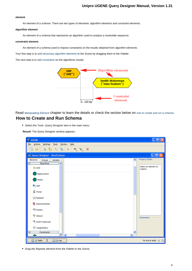#### **element**

An element of a schema. There are two types of elements: algorithm elements and constraint elements.

#### **algorithm element**

An element of a schema that represents an algorithm used to analyze a nucleotide sequence.

#### **constraint element**

An element of a schema used to impose constraints on the results obtained from algorithm elements.

Your first step is to [add necessary algorithm elements](#page-9-0) to the Scene by dragging them to the Palette.

The next step is to [add constraints](#page-9-1) on the algorithms results.



<span id="page-5-0"></span>Read [Manipulating Element](#page-8-0) chapter to learn the details or check the section below on [how to create and run a schema](#page-5-0). **How to Create and Run Schema**

• Select the Tools Query Designer item in the main menu.

**Result:** The Query Designer window appears:

| U UGENE                                                                                       |                     | н                                |  |  |  |  |  |  |  |  |
|-----------------------------------------------------------------------------------------------|---------------------|----------------------------------|--|--|--|--|--|--|--|--|
| Settings Tools Window Help<br>File Actions                                                    |                     |                                  |  |  |  |  |  |  |  |  |
| $\circledast$ $\circledast$<br>$\bullet$<br>rber<br>- ≋<br>Þ.<br>÷<br>□                       |                     |                                  |  |  |  |  |  |  |  |  |
| * Query Designer - NewSchema                                                                  |                     | $\Box$ ek                        |  |  |  |  |  |  |  |  |
| Elements<br>Groups<br>Samples<br><b>Algorithms</b><br>$\overline{\phantom{a}}$<br>⊟           | $\hat{\phantom{a}}$ | Property Editor                  |  |  |  |  |  |  |  |  |
| <b>图 CDD</b>                                                                                  |                     | Select an element to<br>inspect. |  |  |  |  |  |  |  |  |
| <b>BaseContent</b>                                                                            |                     |                                  |  |  |  |  |  |  |  |  |
| HMM3                                                                                          |                     |                                  |  |  |  |  |  |  |  |  |
| $\begin{bmatrix} 1 \\ 0 \end{bmatrix}$ ORF                                                    |                     |                                  |  |  |  |  |  |  |  |  |
| & Primer                                                                                      |                     |                                  |  |  |  |  |  |  |  |  |
| <b>X</b> Repeats                                                                              |                     |                                  |  |  |  |  |  |  |  |  |
| <b>R</b> RestrictionSites                                                                     |                     |                                  |  |  |  |  |  |  |  |  |
| <b>ACG</b> Pattern                                                                            |                     |                                  |  |  |  |  |  |  |  |  |
| <sup>2</sup> Sitecon                                                                          |                     | Parameters                       |  |  |  |  |  |  |  |  |
| SW Smith-Waterman                                                                             |                     |                                  |  |  |  |  |  |  |  |  |
| $\Sigma$ WeightMatrix                                                                         |                     |                                  |  |  |  |  |  |  |  |  |
| <b>Constraints</b><br>$\overline{\mathbf{v}}$<br>$\overline{\left( \right. }%$<br>$\rm III$ . | $\rightarrow$       |                                  |  |  |  |  |  |  |  |  |
| $2:$ Tasks<br><b>1</b> 3: Log                                                                 |                     | No active tasks $\mathcal{P}$    |  |  |  |  |  |  |  |  |

• Drag the Repeats element from the Palette to the Scene.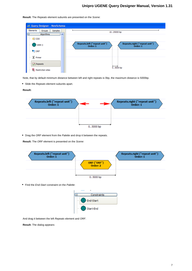| ← Query Designer - NewSchema                                                             |                                                                                       |
|------------------------------------------------------------------------------------------|---------------------------------------------------------------------------------------|
| Elements<br><b>Samples</b><br>Groups<br>Algorithms<br>⊟<br>$\boldsymbol{\mathord{\sim}}$ | 1025000 bp                                                                            |
| <b>使</b> CDD                                                                             |                                                                                       |
| HMM <sub>3</sub>                                                                         | Repeats.left ("repeat unit")<br>Repeats.right ("repeat unit")<br>Order: 1<br>Order: 1 |
| $\blacksquare$ ORF                                                                       |                                                                                       |
| & Primer                                                                                 |                                                                                       |
| $\mathbb{Z}$ Repeats                                                                     | $0.5000 b$ p                                                                          |
| Restriction sites                                                                        |                                                                                       |

**Result:** The Repeats element subunits are presented on the Scene:

Note, that by default minimum distance between left and right repeats is 0bp, the maximum distance is 5000bp.

• Slide the Repeats element subunits apart.

#### **Result:**



• Drag the ORF element from the Palette and drop it between the repeats.

**Result:** The ORF element is presented on the Scene:



• Find the End-Start constraint on the Palette:



And drag it between the left Repeats element and ORF.

**Result:** The dialog appears: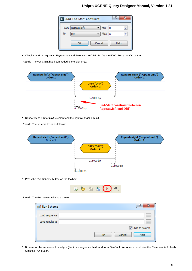|      | U Add 'End-Start' Constraint |                   | P.   |
|------|------------------------------|-------------------|------|
| From | Repeat.left                  | Min<br>- 0        | ÷    |
| To   | ORF                          | Max<br>$\sqrt{0}$ | ÷    |
|      | Cancel<br>ОΚ                 |                   | Help |

• Check that From equals to Repeats. left and To equals to ORF. Set Max to 5000. Press the OK button.

**Result:** The constraint has been added to the elements:



• Repeat steps 5-6 for ORF element and the right Repeats subunit.

**Result:** The schema looks as follows:



• Press the Run Schema button on the toolbar:



**Result:** The Run schema dialog appears:

| Run Schema      | 8<br>X                |
|-----------------|-----------------------|
| Load sequence   | $\cdots$              |
| Save results to | $\cdots$              |
|                 | Add to project        |
|                 | Cancel<br>Help<br>Run |

Browse for the sequence to analyze (the Load sequence field) and for a GenBank file to save results to (the Save results to field). Click the Run button.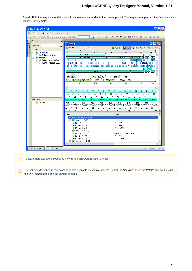**Result:** Both the sequence and the file with annotations are added to the current project. The sequence appears in the Sequence View window, for example:



To learn more about the Sequence View read main UGENE User Manual. Λ

<span id="page-8-0"></span>The schema described in this example is also available as sample schema. Select the Samples tab on the Palette and double-click Λ the ORF-Repeats to open the sample schema.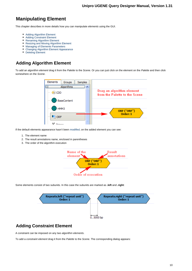# **Manipulating Element**

This chapter describes in more details how you can manipulate elements using the GUI.

- [Adding Algorithm Element](#page-9-0)
- [Adding Constraint Element](#page-9-1)
- [Renaming Algorithm Element](#page-10-0)
- [Resizing and Moving Algorithm Element](#page-10-1)
- [Managing of Elements Parameters](#page-10-2)
- [Changing Algorithm Element Appearance](#page-11-0)
- $\bullet$ [Deleting Element](#page-12-0)

# <span id="page-9-0"></span>**Adding Algorithm Element**

To add an algorithm element drag it from the Palette to the Scene. Or you can just click on the element on the Palette and then click somewhere on the Scene.



If the default elements appearance hasn't been [modified](#page-11-0), on the added element you can see:

- 1. The element name
- 2. The result annotations name, enclosed in parentheses
- 3. The order of the algorithm execution



Some elements consist of two subunits. In this case the subunits are marked as **.left** and **.right**:



# <span id="page-9-1"></span>**Adding Constraint Element**

A constraint can be imposed on any two algorithm elements.

To add a constraint element drag it from the Palette to the Scene. The corresponding dialog appears: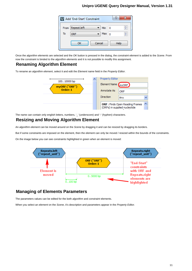|      | U Add 'End-Start' Constraint |            |    | P    |
|------|------------------------------|------------|----|------|
| From | Repeat.left                  | Min        | -0 | ÷    |
| To   | <b>ORF</b>                   | Max $_{0}$ |    | ÷    |
|      | Cancel<br>ок                 |            |    | Help |

Once the algorithm elements are selected and the OK button is pressed in the dialog, the constraint element is added to the Scene. From now the constraint is binded to the algorithm elements and it is not possible to modify this assignment.

# <span id="page-10-0"></span>**Renaming Algorithm Element**

To rename an algorithm element, select it and edit the Element name field in the Property Editor.



<span id="page-10-1"></span>The name can contain only english letters, numbers, '\_' (underscore) and '-' (hyphen) characters.

# **Resizing and Moving Algorithm Element**

An algorithm element can be moved around on the Scene by dragging it and can be resized by dragging its borders.

But if some constraints are imposed on the element, then the element can only be moved / resized within the bounds of the constraints.

On the image below you can see constraints highlighted in green when an element is moved:



## <span id="page-10-2"></span>**Managing of Elements Parameters**

The parameters values can be edited for the both algorithm and constraint elements.

When you select an element on the Scene, it's description and parameters appear in the Property Editor.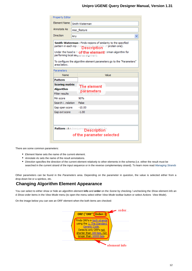| <b>Property Editor</b>                                              |                                                                                                                                                                                                                                                                                                                |                           |  |  |  |  |  |  |  |  |  |
|---------------------------------------------------------------------|----------------------------------------------------------------------------------------------------------------------------------------------------------------------------------------------------------------------------------------------------------------------------------------------------------------|---------------------------|--|--|--|--|--|--|--|--|--|
| <b>Element Name</b>                                                 | Smith-Waterman                                                                                                                                                                                                                                                                                                 |                           |  |  |  |  |  |  |  |  |  |
| Annotate As<br>misc_feature                                         |                                                                                                                                                                                                                                                                                                                |                           |  |  |  |  |  |  |  |  |  |
| Direction<br>Any                                                    |                                                                                                                                                                                                                                                                                                                |                           |  |  |  |  |  |  |  |  |  |
| area below.                                                         | <b>Smith-Waterman:</b> Finds regions of similarity to the specified<br>pattern in each input sep<br>Description e or protein one).<br>Under the hood is throf the element terman algorithm for<br>performing local sequence alignment.<br>To configure the algorithm element parameters go to the "Parameters" |                           |  |  |  |  |  |  |  |  |  |
| Parameters                                                          |                                                                                                                                                                                                                                                                                                                |                           |  |  |  |  |  |  |  |  |  |
| Name                                                                |                                                                                                                                                                                                                                                                                                                | Value                     |  |  |  |  |  |  |  |  |  |
| <b>Pattern</b>                                                      |                                                                                                                                                                                                                                                                                                                |                           |  |  |  |  |  |  |  |  |  |
| <b>Scoring matrix</b><br>Algorithm<br><b>Filter results</b>         |                                                                                                                                                                                                                                                                                                                | The element<br>parameters |  |  |  |  |  |  |  |  |  |
| Min score                                                           |                                                                                                                                                                                                                                                                                                                | 90%                       |  |  |  |  |  |  |  |  |  |
| Search inslation                                                    |                                                                                                                                                                                                                                                                                                                | False                     |  |  |  |  |  |  |  |  |  |
| Gap open score                                                      |                                                                                                                                                                                                                                                                                                                | $-10.00$                  |  |  |  |  |  |  |  |  |  |
| Gap ext score                                                       |                                                                                                                                                                                                                                                                                                                | $-1.00$                   |  |  |  |  |  |  |  |  |  |
|                                                                     |                                                                                                                                                                                                                                                                                                                |                           |  |  |  |  |  |  |  |  |  |
| Pattern : A subsequence pattern in the<br>of the parameter selected |                                                                                                                                                                                                                                                                                                                |                           |  |  |  |  |  |  |  |  |  |

There are some common parameters:

- Element Name sets the name of the current element.
- Annotate As sets the name of the result annotations.
- Direction specifies the direction of the current element relatively to other elements in the schema (i.e. either the result must be searched in the current strand of the input sequence or in the reverse complementary strand). To learn more read [Managing Strands](#page-14-1) .

Other parameters can be found in the Parameters area. Depending on the parameter in question, the value is selected either from a drop-down list or a spinbox, etc.

# <span id="page-11-0"></span>**Changing Algorithm Element Appearance**

You can select to either show or hide an algorithm element info and order on the Scene by checking / unchecking the Show element info an d Show order items in the View Mode menu (to open the menu select either View Mode toolbar button or select Actions View Mode).

On the image below you can see an ORF element when the both items are checked:

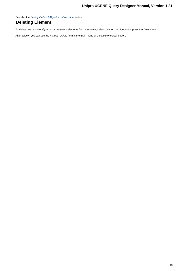See also the [Setting Order of Algorithms Execution](#page-14-0) section.

# <span id="page-12-0"></span>**Deleting Element**

To delete one or more algorithm or constraint elements from a schema, select them on the Scene and press the Delete key.

<span id="page-12-1"></span>Alternatively, you can use the Actions Delete item in the main menu or the Delete toolbar button.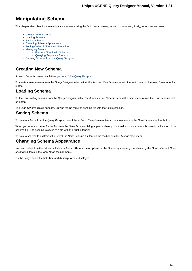# **Manipulating Schema**

This chapter describes how to manipulate a schema using the GUI: how to create, to load, to save and, finally, to run one and so on.

- [Creating New Schema](#page-13-0)
- [Loading Schema](#page-13-1)
- [Saving Schema](#page-13-2)
- [Changing Schema Appearance](#page-13-3)
- [Setting Order of Algorithms Execution](#page-14-0)
- [Managing Strands](#page-14-1)
	- [Element Direction in Schema](#page-15-0) [Querying Sequence Strands](#page-15-1)
- [Running Schema from the Query Designer](#page-16-0)

# <span id="page-13-0"></span>**Creating New Schema**

A new schema is created each time you [launch the Query Designer](#page-3-0).

To create a new schema from the Query Designer select either the Actions New Schema item in the main menu or the New Schema toolbar button.

# <span id="page-13-1"></span>**Loading Schema**

To load an existing schema from the Query Designer, select the Actions Load Schema item in the main menu or use the Load schema toolb ar button.

<span id="page-13-2"></span>The Load Schema dialog appears. Browse for the required schema file with the \*.uql extension.

## **Saving Schema**

To save a schema from the Query Designer select the Actions Save Schema item in the main menu or the Save Schema toolbar button.

When you save a schema for the first time the Save Schema dialog appears where you should input a name and browse for a location of the schema file. The schema is saved to a file with the \*.uql extension.

<span id="page-13-3"></span>To save a schema to a different file select the Save Schema As item on the toolbar or in the Actions main menu.

## **Changing Schema Appearance**

You can select to either show or hide a schema **title** and **description** on the Scene by checking / unchecking the Show title and Show description items in the View Mode toolbar menu.

On the image below the both **title** and **description** are displayed: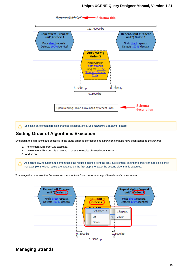

Selecting an element direction changes its appearance. See [Managing Strands](#page-14-1) for details. Δ

# <span id="page-14-0"></span>**Setting Order of Algorithms Execution**

By default, the algorithms are executed in the same order as corresponding algorithm elements have been added to the schema:

- 1. The element with order 1 is executed.
- 2. The element with order 2 is executed. It uses the results obtained from the step 1.
- 3. And so on.

As each following algorithm element uses the results obtained from the previous element, setting the order can affect efficiency. For example, the less results are obtained on the first step, the faster the second algorithm is executed.

To change the order use the Set order submenu or Up / Down items in an algorithm element context menu.



## <span id="page-14-1"></span>**Managing Strands**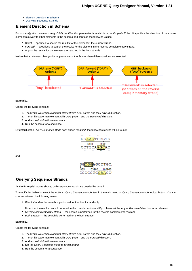- [Element Direction in Schema](#page-15-0)
- [Querying Sequence Strands](#page-15-1)

## <span id="page-15-0"></span>**Element Direction in Schema**

For some algorithm elements (e.g. ORF) the Direction parameter is available in the Property Editor. It specifies the direction of the current element relatively to other elements in the schema and can take the following values:

- Direct specifies to search the results for the element in the current strand.
- Forward specifiesd to search the results for the element in the reverse complementary strand.
- Any the results for the element are seached in the both strands.

Notice that an element changes it's appearance on the Scene when different values are selected:



#### **Example1:**

Create the following schema:

- 1. The Smith-Waterman algorithm element with AAG patern and the Forward direction.
- 2. The Smith-Waterman element with CGG pattern and the Backward direction.
- 3. Add a constraint to these elements.
- 4. Run the schema for a sequence.

By default, if the Query Sequence Mode hasn't been modified, the followings results will be found:



and

GGAGCTTGC 103960 103965 CCGCCTC GAACG

#### <span id="page-15-1"></span>**Querying Sequence Strands**

As the **Example1** above shows, both sequence strands are queried by default.

To modify this behavior select the Actions Query Sequence Mode item in the main menu or Query Sequence Mode toolbar button. You can choose between the following values:

- Direct strand the search is performed for the direct strand only.
- Note, that the results can still be found in the complement strand if you have set the Any or Backward direction for an element.
- Reverse complementary strand the search is performed for the reverse complementary strand.
- Both strands the search is performed for the both strands.

#### **Example2:**

Create the following schema:

- 1. The Smith-Waterman algorithm element with AAG patern and the Forward direction.
- 2. The Smith-Waterman element with CGG pattern and the Forward direction.
- 3. Add a constraint to these elements.
- 4. Set the Query Sequence Mode to Direct strand.
- 5. Run the schema for a sequence.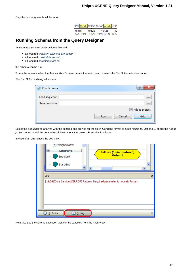

# <span id="page-16-0"></span>**Running Schema from the Query Designer**

As soon as a schema construction is finished:

- all required [algorithm elements are added](#page-9-0)
- all required [constraints are set](#page-9-1)
- all required [parameters are set](#page-10-2)

the schema can be run.

To run the schema select the Actions Run Schema item in the main menu or select the Run Schema toolbar button.

The Run Schema dialog will appear:

| Run Schema      | P<br>x                       |
|-----------------|------------------------------|
| Load sequence   | $\cdots$                     |
| Save results to | $\cdots$                     |
|                 | Add to project               |
|                 | Help<br>Cancel<br><b>Run</b> |

Select the Sequence to analyze with the schema and browse for the file in GenBank format to Save results to. Optionally, check the Add to project button to add the created result file to the active project. Press the Run button.

In case of an error check the Log View:

| <b>Meight matrix</b><br>5.<br><b>Constraints</b><br>ᆸ<br>Pattern ("misc feature")<br>Order: 1<br>End-Start |   |
|------------------------------------------------------------------------------------------------------------|---|
| Start-End<br>∢<br>۶<br>$\mathbf{III}$                                                                      |   |
| Log                                                                                                        | × |
| [18:34][Core Services][ERROR] Pattern. Required parameter is not set: Pattern                              |   |
|                                                                                                            |   |
|                                                                                                            |   |
|                                                                                                            |   |
| 2: Tasks<br>Ø<br>$3:$ Log                                                                                  | ≫ |

<span id="page-16-1"></span>Note also that the schema execution task can be canceled from the Task View.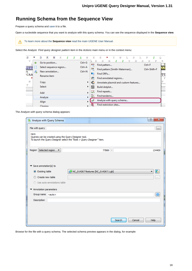# **Running Schema from the Sequence View**

Prepare a query schema and [save](#page-13-2) it to a file.

Open a nucleotide sequence that you want to analyze with this query schema. You can see the sequence displayed in the **Sequence view**.

To learn more about the **Sequence view** read the main UGENE User Manual.Λ

Select the Analyze Find query designer pattern item in the Actions main menu or in the context menu:

| s                | ÷  | D       | к           | N                      | κ |  | т. |            | F.         | F.                                   | *            | v                             | N | т. | s | ъ | F            |         |
|------------------|----|---------|-------------|------------------------|---|--|----|------------|------------|--------------------------------------|--------------|-------------------------------|---|----|---|---|--------------|---------|
| v                | ⇨  |         |             | Go to position         |   |  |    | $Ctrl + G$ |            | з                                    |              |                               |   |    | н | s | s            | к       |
|                  | Ш  |         |             | Select sequence region |   |  |    | $Ctrl + A$ | <b>ACG</b> |                                      | Find pattern |                               |   |    |   |   | $Ctrl + F$   | K<br>AA |
| <b>GTT</b>       |    |         |             | New annotation         |   |  |    | $Ctrl + N$ | <b>SW</b>  |                                      |              | Find pattern [Smith-Waterman] |   |    |   |   | Ctrl+Shift+F |         |
| 75<br><b>CAA</b> | Æь |         |             |                        |   |  |    |            |            | Find ORFs                            |              |                               |   |    |   |   |              | ΥT      |
|                  |    |         | Rename item |                        |   |  |    |            | ≂          |                                      |              | Find annotated regions        |   |    |   |   |              | F       |
| N                |    | Copy    |             |                        |   |  |    | r          | ÷          | Annotate plasmid and custom features |              |                               |   |    |   |   |              | F       |
| T<br>.           |    | Select  |             |                        |   |  |    |            | 鼮          | Build dotplot                        |              |                               |   |    |   |   |              | 6555    |
|                  |    | Add     |             |                        |   |  |    | r          | ᅌ          |                                      | Find repeats |                               |   |    |   |   |              |         |
|                  |    | Analyze |             |                        |   |  |    |            | K          |                                      | Find tandems |                               |   |    |   |   |              |         |
|                  |    | Align   |             |                        |   |  |    |            |            | Analyze with query schema            |              |                               |   |    |   |   |              |         |
|                  |    | Cloning |             |                        |   |  |    |            | 策          | Find restriction sites               |              |                               |   |    |   |   |              |         |

The Analyze with query schema dialog appears:

| A Analyze with Query Schema                                    |                                                                        | P<br>$\mathbf{x}$ |
|----------------------------------------------------------------|------------------------------------------------------------------------|-------------------|
| File with query                                                |                                                                        | m.                |
| Hint:<br>Queries can be created using the Query Designer tool. | To launch the Query Designer select the "Tools > Query Designer" item. |                   |
| Region Selected region<br>▼                                    | 77889 -                                                                | 134409            |
| $\blacktriangledown$ Save annotation(s) to<br>Sisting table    | NC_014267 features [NC_014267.1.gb]                                    | R                 |
| Create new table                                               |                                                                        |                   |
|                                                                |                                                                        | <b>COL</b>        |
| Use auto-annotations table                                     |                                                                        |                   |
| Annotation parameters<br>▼                                     |                                                                        |                   |
| Group name <auto></auto>                                       |                                                                        | 器                 |
| Description                                                    |                                                                        |                   |
|                                                                |                                                                        |                   |
|                                                                |                                                                        |                   |
|                                                                |                                                                        |                   |
|                                                                | Search<br>Cancel                                                       | <b>Help</b>       |

Browse for the file with a query schema. The selected schema preview appears in the dialog, for example: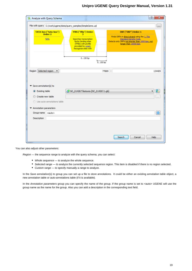|                                                                                                  | File with query C:/work/ugene/data/query_samples/SimpleGene.uql<br>$\mathbf{r}$ |                                                                                                                                                             |                     |                                                                                                                                                                              |              |
|--------------------------------------------------------------------------------------------------|---------------------------------------------------------------------------------|-------------------------------------------------------------------------------------------------------------------------------------------------------------|---------------------|------------------------------------------------------------------------------------------------------------------------------------------------------------------------------|--------------|
|                                                                                                  | TATA-box ("tata-box")<br>Order: 2<br><b>TATA</b>                                | TFBS ("tfbs") Order:<br>з<br>Searches transcription<br>factor binding sites<br>(TFBS) with profile<br>provided by unset.<br>Recognize sites with<br>0.150bp | 0.150 <sub>bp</sub> | ORF ("ORF") Order: 1<br>Finds ORFs in direct strand using the 1. The<br>Standard Genetic Code.<br>Detects only ORFs not shorter than 1000 bps, not<br>longer than 10000 bps. |              |
| Region Selected region<br>77889 -<br>$\overline{\phantom{a}}$<br>134409<br>Save annotation(s) to |                                                                                 |                                                                                                                                                             |                     |                                                                                                                                                                              |              |
|                                                                                                  |                                                                                 |                                                                                                                                                             |                     |                                                                                                                                                                              |              |
| $\odot$ Existing table                                                                           |                                                                                 | NC_014267 features [NC_014267.1.gb]                                                                                                                         |                     |                                                                                                                                                                              | $\mathbf{E}$ |
| Create new table                                                                                 |                                                                                 |                                                                                                                                                             |                     |                                                                                                                                                                              | i i i        |
|                                                                                                  | <b>O</b> Use auto-annotations table                                             |                                                                                                                                                             |                     |                                                                                                                                                                              |              |
| Annotation parameters                                                                            |                                                                                 |                                                                                                                                                             |                     |                                                                                                                                                                              |              |
| Group name <auto></auto>                                                                         |                                                                                 |                                                                                                                                                             |                     |                                                                                                                                                                              |              |
| Description                                                                                      |                                                                                 |                                                                                                                                                             |                     |                                                                                                                                                                              | 器            |

You can also adjust other parameters:

Region — the sequence range to analyze with the query schema, you can select:

- Whole sequence to analyze the whole sequence.
- Selected range to analyze the currently selected sequence region. This item is disabled if there is no region selected.
- Custom range to specify manually a range to analyze.

In the Save annotation(s) to group you can set up a file to store annotations. It could be either an existing annotation table object, a new annotation table or auto-annotations table (if it is available).

<span id="page-18-0"></span>In the Annotation parameters group you can specify the name of the group. If the group name is set to <auto> UGENE will use the group name as the name for the group. Also you can add a description in the corresponding text field.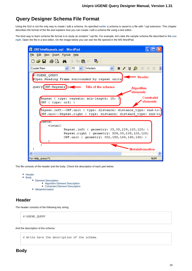# **Query Designer Schema File Format**

Using the GUI is not the only way to create / edit a schema. As specified [earlier](#page-13-2) a schema is saved to a file with \*.uql extension. This chapter describes the format of the file and explains how you can create / edit a schema file using a text editor.

The best way to learn schema file format is to study an existent \*.uql file. For [exa](#page-5-0)mple, let's take the sample schema file described in the exa [mple](#page-5-0). Open the file in a text editor. On the image below you can see the file opened in the MS WordPad.



The file consists of the header and the body. Check the description of each part below.

- [Header](#page-19-0)
	- [Body](#page-19-1) • [Element Description](#page-20-0) [Algorithm Element Description](#page-20-1) [Constraint Element Description](#page-21-0) • [Metainformation](#page-22-0)

## <span id="page-19-0"></span>**Header**

The header consists of the following key string:

#!UGENE\_QUERY

<span id="page-19-1"></span>And the description of the schema:

# Write here the description of the schema.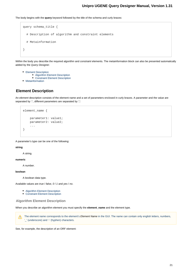The body begins with the **query** keyword followed by the title of the schema and curly braces:

```
query schema_title {
   # Description of algorithm and constraint elements
   # Metainformation
}
```
Within the body you describe the required algorithm and constraint elements. The metainformation block can also be presented automatically added by the Query Designer.

- [Element Description](#page-20-0)
	- [Algorithm Element Description](#page-20-1)
	- [Constraint Element Description](#page-21-0)
- [Metainformation](#page-22-0)

#### <span id="page-20-0"></span>**Element Description**

An element description consists of the element name and a set of parameters enclosed in curly braces. A parameter and the value are separated by ':', different parameters are separated by ':':

```
element_name {
     parameter1: value1;
     parameter2: value2;
     ...
}
```
A parameter's type can be one of the following:

#### **string**

A string.

#### **numeric**

A number.

#### **boolean**

A boolean data type.

Available values are true / false, 0 / 1 and yes / no.

- [Algorithm Element Description](#page-20-1)
- [Constraint Element Description](#page-21-0)

#### <span id="page-20-1"></span>**Algorithm Element Description**

When you describe an algorithm element you must specify the **element\_name** and the element type.

The element name corresponds to the element's Element Name in the GUI. The name can contain only english letters, numbers, Λ '\_' (underscore) and '-' (hyphen) characters.

See, for example, the description of an ORF element: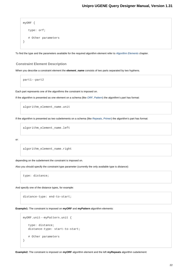```
myORF {
    type: orf;
    # Other parameters
}
```
To find the type and the parameters available for the required algorithm element refer to [Algorithm Elements](#page-23-0) chapter.

#### <span id="page-21-0"></span>**Constraint Element Description**

When you describe a constraint element the **element\_name** consists of two parts separated by two hyphens.

part1--part2

Each part represents one of the algorithms the constraint is imposed on.

If the algorithm is presented as one element on a schema (like [ORF](#page-26-0), [Pattern](#page-30-0)) the algorithm's part has format:

algorithm\_element\_name.unit

If the algorithm is presented as two subelements on a schema (like [Repeats](#page-28-0), [Primer](#page-27-0)) the algorithm's part has format:

algorithm\_element\_name.left

or:

algorithm\_element\_name.right

depending on the subelement the constraint is imposed on.

Also you should specify the constraint type parameter (currently the only available type is distance):

type: distance;

And specify one of the distance types, for example:

distance-type: end-to-start;

**Example1:** The constraint is imposed on **myORF** and **myPattern** algorithm elements:

```
myORF.unit--myPattern.unit {
    type: distance;
    distance-type: start-to-start;
    # Other parameters
}
```
**Example2:** The constraint is imposed on **myORF** algorithm element and the left **myRepeats** algorithm subelement: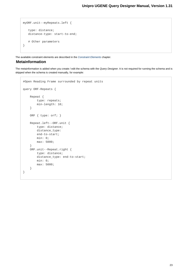```
myORF.unit--myRepeats.left {
    type: distance;
    distance-type: start-to-end;
    # Other parameters
}
```
<span id="page-22-0"></span>The available constraint elements are described in the [Constraint Elements](#page-34-1) chapter.

#### **Metainformation**

The metainformation is added when you create / edit the schema with the Query Designer. It is not required for running the schema and is skipped when the schema is created manually, for example:

```
#Open Reading Frame surrounded by repeat units
query ORF-Repeats {
     Repeat {
         type: repeats;
         min-length: 10;
     }
     ORF { type: orf; }
     Repeat.left--ORF.unit {
         type: distance;
         distance_type:
         end-to-start;
         min: 0;
         max: 5000;
     }
     ORF.unit--Repeat.right {
         type: distance;
         distance_type: end-to-start;
         min: 0;
         max: 5000;
     }
}
```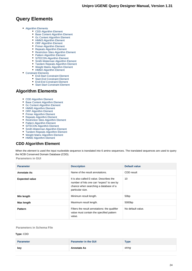# **Query Elements**

- [Algorithm Elements](#page-23-0)
	- [CDD Algorithm Element](#page-23-1)
	- [Base Content Algorithm Element](#page-24-0)
	- [Gc Content Algorithm Element](#page-24-1)
	- [HMM3 Algorithm Element](#page-25-0)
	- [ORF Algorithm Element](#page-26-0)
	- [Primer Algorithm Element](#page-27-0)
	- [Repeats Algorithm Element](#page-28-0)
	- [Restriction Sites Algorithm Element](#page-29-0)
	- [Pattern Algorithm Element](#page-30-0)
	- [SITECON Algorithm Element](#page-30-1)
	- [Smith-Waterman Algorithm Element](#page-31-0)
	- [Tandem Repeats Algorithm Element](#page-32-0)
	- [Weight Matrix Algorithm Element](#page-33-0)
	- [HMM2 Algorithm Element](#page-34-0)
- [Constraint Elements](#page-34-1)
	- [End-Start Constraint Element](#page-35-0)
	- [Start-End Constraint Element](#page-35-1)
	- [End-End Constraint Element](#page-36-0)
	- [Start-Start Constraint Element](#page-37-0)

## <span id="page-23-0"></span>**Algorithm Elements**

- [CDD Algorithm Element](#page-23-1)
- [Base Content Algorithm Element](#page-24-0)
- [Gc Content Algorithm Element](#page-24-1)
- $\bullet$ [HMM3 Algorithm Element](#page-25-0)
- [ORF Algorithm Element](#page-26-0)
- $\bullet$ [Primer Algorithm Element](#page-27-0)
- $\bullet$ [Repeats Algorithm Element](#page-28-0)
- [Restriction Sites Algorithm Element](#page-29-0)
- [Pattern Algorithm Element](#page-30-0)
- [SITECON Algorithm Element](#page-30-1)
- $\bullet$ [Smith-Waterman Algorithm Element](#page-31-0)
- [Tandem Repeats Algorithm Element](#page-32-0)
- [Weight Matrix Algorithm Element](#page-33-0)
- $\bullet$ [HMM2 Algorithm Element](#page-34-0)

# <span id="page-23-1"></span>**CDD Algorithm Element**

When the element is used the input nucleotide sequence is translated into 6 amino sequences. The translated sequences are used to query the NCBI Conserved Domain Database (CDD).

**Parameters in GUI**

| <b>Parameter</b>      | <b>Description</b>                                                                                                                                 | Default value      |
|-----------------------|----------------------------------------------------------------------------------------------------------------------------------------------------|--------------------|
| <b>Annotate As</b>    | Name of the result annotations.                                                                                                                    | CDD result         |
| <b>Expected value</b> | It is also called E-value. Describes the<br>number of hits one can "expect" to see by<br>chance when searching a database of a<br>particular size. | 10                 |
| Min length            | Minimum result length.                                                                                                                             | 50 <sub>bp</sub>   |
| Max length            | Maximum result length.                                                                                                                             | 5000 <sub>bp</sub> |
| <b>Pattern</b>        | Filters the result annotations: the qualifier<br>value must contain the specified pattern<br>value.                                                | No default value.  |

#### **Parameters in Schema File**

#### **Type:** CDD

| <b>Parameter</b> | <b>Parameter in the GUI</b> | <b>Type</b> |
|------------------|-----------------------------|-------------|
| kev              | Annotate As                 | string      |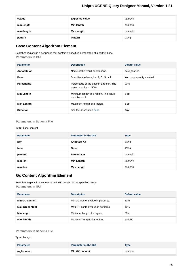| evalue     | <b>Expected value</b> | numeric |
|------------|-----------------------|---------|
| min-length | Min length            | numeric |
| max-length | Max length            | numeric |
| pattern    | <b>Pattern</b>        | string  |

# <span id="page-24-0"></span>**Base Content Algorithm Element**

Searches regions in a sequence that contain a specified percentage of a certain base. **Parameters in GUI**

| <b>Parameter</b>   | <b>Description</b>                                                   | Default value             |
|--------------------|----------------------------------------------------------------------|---------------------------|
| <b>Annotate As</b> | Name of the result annotations.                                      | misc feature              |
| <b>Base</b>        | Specifies the base, i.e. A, C, G or T.                               | You must specify a value! |
| Percentage         | Percentage of the base in a region. The<br>value must be $>= 50\%$ . | 90%                       |
| Min Length         | Minimum length of a region. The value<br>must be $\geq 5$ .          | 5 bp                      |
| Max Length         | Maximum length of a region.                                          | 5 bp                      |
| <b>Direction</b>   | See the description here.                                            | Any                       |

#### **Parameters in Schema File**

#### **Type:** base-content

| <b>Parameter</b> | <b>Parameter in the GUI</b> | <b>Type</b> |
|------------------|-----------------------------|-------------|
| key              | <b>Annotate As</b>          | string      |
| base             | <b>Base</b>                 | string      |
| percent          | Percentage                  | numeric     |
| min-len          | <b>Min Length</b>           | numeric     |
| max-len          | <b>Max Length</b>           | numeric     |

# <span id="page-24-1"></span>**Gc Content Algorithm Element**

Searches regions in a sequence with GC content in the specified range. **Parameters in GUI**

| <b>Parameter</b>      | <b>Description</b>                | Default value      |
|-----------------------|-----------------------------------|--------------------|
| Min GC content        | Min GC content value in percents. | 20%                |
| <b>Max GC content</b> | Max GC content value in percents. | 40%                |
| Min length            | Minimum length of a region.       | 50 <sub>bp</sub>   |
| Max length            | Maximum length of a region.       | 1000 <sub>bp</sub> |

### **Parameters in Schema File**

**Type:** find-gc

| <b>Parameter</b> | <b>Parameter in the GUI</b> | Type    |
|------------------|-----------------------------|---------|
| region-start     | Min GC content              | numeric |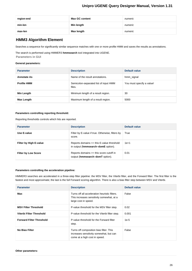| region-end | <b>Max GC content</b> | numeric |
|------------|-----------------------|---------|
| min-len    | Min length            | numeric |
| max-len    | Max length            | numeric |

## <span id="page-25-0"></span>**HMM3 Algorithm Element**

Searches a sequence for significantly similar sequence matches with one or more profile HMM and saves the results as annotations.

The search is performed using HMMER3 **hmmsearch** tool integrated into UGENE. **Parameters in GUI**

#### **General parameters:**

| <b>Parameter</b>   | <b>Description</b>                              | Default value             |
|--------------------|-------------------------------------------------|---------------------------|
| <b>Annotate As</b> | Name of the result annotations.                 | hmm_signal                |
| <b>Profile HMM</b> | Semicolon-separated list of input HMM<br>files. | You must specify a value! |
| Min Length         | Minimum length of a result region.              | 30                        |
| Max Length         | Maximum length of a result region.              | 5000                      |

#### **Parameters controlling reporting threshold:**

Reporting thresholds controls which hits are reported.

| <b>Parameter</b>           | <b>Description</b>                                                                  | Default value |
|----------------------------|-------------------------------------------------------------------------------------|---------------|
| Use E-value                | Filter by E-value if true. Otherwise, filters by<br>score.                          | True          |
| Filter by High E-value     | Reports domains $\leq$ this E-value threshold<br>in output (hmmsearch-domE option). | $1e+1$        |
| <b>Filter by Low Score</b> | Reports domains >= this score cutoff in<br>output (hmmsearch-domT option).          | 0.01          |

#### **Parameters controlling the acceleration pipeline:**

HMMER3 searches are accelerated in a three-step filter pipeline: the MSV filter, the Viterbi filter, and the Forward filter. The first filter is the fastest and most approximate; the last is the full Forward scoring algorithm. There is also a bias filter step between MSV and Viterbi.

| <b>Parameter</b>                | <b>Description</b>                                                                                                  | Default value |
|---------------------------------|---------------------------------------------------------------------------------------------------------------------|---------------|
| Max                             | Turns off all acceleration heuristic filters.<br>This increases sensitivity somewhat, at a<br>large cost in speed.  | False         |
| <b>MSV Filter Threshold</b>     | P-value threshold for the MSV filter step.                                                                          | 0.02          |
| Viterbi Filter Threshold        | P-value threshold for the Viterbi filter step.                                                                      | 0.001         |
| <b>Forward Filter Threshold</b> | P-value threshold for the Forward filter<br>step.                                                                   | $1e-5$        |
| <b>No Bias Filter</b>           | Turns off composition bias filter. This<br>increases sensitivity somewhat, but can<br>come at a high cost in speed. | False         |

#### **Other parameters:**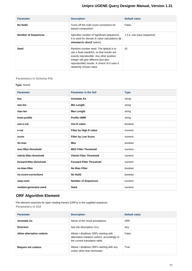| <b>Parameter</b>           | <b>Description</b>                                                                                                                                                                                                                              | Default value               |
|----------------------------|-------------------------------------------------------------------------------------------------------------------------------------------------------------------------------------------------------------------------------------------------|-----------------------------|
| No Null2                   | Turns off the null2 score corrections for<br>biased composition.                                                                                                                                                                                | False                       |
| <b>Number of Sequences</b> | Specifies number of significant sequences.<br>It is used for domain E-value calculations (h<br>mmsearch-domZ option).                                                                                                                           | 1 (i.e. one input sequence) |
| <b>Seed</b>                | Random number seed. The default is to<br>use a fixed seed(42), so that results are<br>exactly reproducible. Any other positive<br>integer will give different (but also<br>reproducible) results. A choice of 0 uses a<br>randomly chosen seed. | 42                          |

#### **Parameters in Schema File**

#### **Type:** hmm3

| <b>Parameter</b>         | <b>Parameter in the GUI</b>     | <b>Type</b> |
|--------------------------|---------------------------------|-------------|
| key                      | <b>Annotate As</b>              | string      |
| min-len                  | <b>Min Length</b>               | string      |
| max-len                  | <b>Max Length</b>               | string      |
| hmm-profile              | <b>Profile HMM</b>              | string      |
| use-e-val                | Use E-value                     | boolean     |
| e-val                    | Filter by High E-value          | numeric     |
| score                    | <b>Filter by Low Score</b>      | numeric     |
| do-max                   | Max                             | boolean     |
| msv-filter-threshold     | <b>MSV Filter Threshold</b>     | numeric     |
| viterbi-filter-threshold | Viterbi Filter Threshold        | numeric     |
| forward-filter-threshold | <b>Forward Filter Threshold</b> | numeric     |
| no-bias-filter           | <b>No Bias Filter</b>           | boolean     |
| no-score-corrections     | <b>No Null2</b>                 | boolean     |
| segs-num                 | <b>Number of Sequences</b>      | numeric     |
| random-generator-seed    | Seed                            | numeric     |

# <span id="page-26-0"></span>**ORF Algorithm Element**

The element searches for open reading frames (ORFs) in the supplied sequence. **Parameters in GUI**

| <b>Parameter</b>           | <b>Description</b>                                                                                                       | Default value |
|----------------------------|--------------------------------------------------------------------------------------------------------------------------|---------------|
| <b>Annotate As</b>         | Name of the result annotations.                                                                                          | <b>ORF</b>    |
| <b>Direction</b>           | See the description here.                                                                                                | Any           |
| Allow alternative codons   | Allows / disallows ORFs starting with<br>alternative initiation codons, accordingly to<br>the current translation table. | False         |
| <b>Require init codons</b> | Allows / disallows ORFs starting with any<br>codon other than terminator.                                                | True          |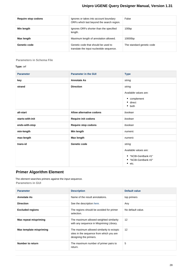| Require stop codons | Ignores or takes into account boundary<br>ORFs which last beyond the search region. | False                     |
|---------------------|-------------------------------------------------------------------------------------|---------------------------|
| Min length          | Ignores ORFs shorter than the specified<br>length.                                  | 100bp                     |
| Max length          | Maximum length of annotation allowed.                                               | 10000bp                   |
| Genetic code        | Genetic code that should be used to<br>translate the input nucleotide sequence.     | The standard genetic code |

#### **Parameters in Schema File**

#### **Type:** orf

| <b>Parameter</b> | <b>Parameter in the GUI</b> | <b>Type</b>                                                                                |
|------------------|-----------------------------|--------------------------------------------------------------------------------------------|
| key              | <b>Annotate As</b>          | string                                                                                     |
| strand           | <b>Direction</b>            | string<br>Available values are:<br>• complement<br>• direct<br>$\bullet$ both              |
| alt-start        | Allow alternative codons    | boolean                                                                                    |
| starts-with-init | Require init codons         | boolean                                                                                    |
| ends-with-stop   | <b>Require stop codons</b>  | boolean                                                                                    |
| min-length       | Min length                  | numeric                                                                                    |
| max-length       | <b>Max length</b>           | numeric                                                                                    |
| trans-id         | Genetic code                | string<br>Available values are:<br>• "NCBI-GenBank #1"<br>• "NCBI-GenBank #2"<br>٠<br>etc. |

# <span id="page-27-0"></span>**Primer Algorithm Element**

The element searches primers against the input sequence. **Parameters in GUI**

| <b>Parameter</b>             | <b>Description</b>                                                                                              | Default value     |
|------------------------------|-----------------------------------------------------------------------------------------------------------------|-------------------|
| <b>Annotate As</b>           | Name of the result annotations.                                                                                 | top primers       |
| <b>Direction</b>             | See the description here.                                                                                       | Any               |
| <b>Excluded regions</b>      | The regions should be avoided for primer<br>selection.                                                          | No default value. |
| <b>Max repeat mispriming</b> | The maximum allowed weighted similarity<br>with any sequence in Mispriming Library.                             | $12 \overline{ }$ |
| Max template mispriming      | The maximum allowed similarity to ectopic<br>sites in the sequence from which you are<br>designing the primers. | $12 \overline{ }$ |
| Number to return             | The maximum number of primer pairs to<br>return.                                                                | 5                 |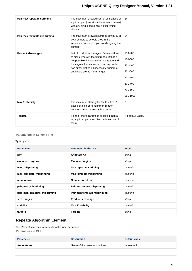| Pair max repeat mispriming   | The maximum allowed sum of similarities of<br>a primer pair (one similarity for each primer)<br>with any single sequence in Mispriming<br>Library.                                                                                                                                  | 24                                                                                    |
|------------------------------|-------------------------------------------------------------------------------------------------------------------------------------------------------------------------------------------------------------------------------------------------------------------------------------|---------------------------------------------------------------------------------------|
| Pair max template mispriming | The maximum allowed summed similarity of<br>both primers to ectopic sites in the<br>sequence from which you are designing the<br>primers.                                                                                                                                           | 24                                                                                    |
| <b>Product size ranges</b>   | List of product size ranges. Primer first tries<br>to pick primers in the first range. If that is<br>not possible, it goes to the next range and<br>tries again. It continues in this way until it<br>has either picked all necessary primers or<br>until there are no more ranges. | 150-200<br>100-300<br>301-400<br>401-500<br>501-600<br>601-700<br>701-850<br>851-1000 |
| Max 3' stability             | The maximum stability for the last five 3'<br>bases of a left or right primer. Bigger<br>numbers mean more stable 3' ends.                                                                                                                                                          | 9                                                                                     |
| <b>Targets</b>               | If one or more Targets is specified then a<br>legal primer pair must flank at least one of<br>them.                                                                                                                                                                                 | No default value.                                                                     |

#### **Parameters in Schema File**

#### **Type:** primer

| <b>Parameter</b>             | <b>Parameter in the GUI</b>  | <b>Type</b> |
|------------------------------|------------------------------|-------------|
| key                          | <b>Annotate As</b>           | string      |
| excluded_regions             | <b>Excluded region</b>       | string      |
| max_mispriming               | Max repeat mispriming        | numeric     |
| max_template_mispriming      | Max template mispriming      | numeric     |
| num_return                   | Number to return             | numeric     |
| pair_max_mispriming          | Pair max repeat mispriming   | numeric     |
| pair_max_template_mispriming | Pair max template mispriming | numeric     |
| size_ranges                  | Product size range           | string      |
| stability                    | Max 3' stability             | numeric     |
| targets                      | <b>Targets</b>               | string      |

# <span id="page-28-0"></span>**Repeats Algorithm Element**

The element searches for repeats in the input sequence. **Parameters in GUI**

| <b>Parameter</b>   | <b>Description</b>              | Default value |
|--------------------|---------------------------------|---------------|
| <b>Annotate As</b> | Name of the result annotations. | repeat_unit   |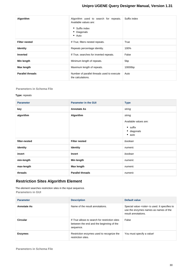| Algorithm               | Algorithm used to search for repeats.<br>Available values are:<br>• Suffix index<br>• Diagonals<br>$\bullet$ Auto | Suffix index    |
|-------------------------|-------------------------------------------------------------------------------------------------------------------|-----------------|
| <b>Filter nested</b>    | If True, filters nested repeats.                                                                                  | True            |
| <b>Identity</b>         | Repeats percentage identity.                                                                                      | 100%            |
| <b>Inverted</b>         | If True, searches for inverted repeats.                                                                           | False           |
| Min length              | Minimum length of repeats.                                                                                        | 5 <sub>bp</sub> |
| Max length              | Maximum length of repeats.                                                                                        | 10000bp         |
| <b>Parallel threads</b> | Number of parallel threads used to execute<br>the calculations.                                                   | Auto            |

#### **Parameters in Schema File**

#### **Type:** repeats

| <b>Parameter</b> | <b>Parameter in the GUI</b> | <b>Type</b>                   |
|------------------|-----------------------------|-------------------------------|
| key              | <b>Annotate As</b>          | string                        |
| algorithm        | Algorithm                   | string                        |
|                  |                             | Available values are:         |
|                  |                             | $\bullet$ suffix              |
|                  |                             | · diagonals<br>$\bullet$ auto |
|                  |                             |                               |
| filter-nested    | <b>Filter nested</b>        | boolean                       |
| identity         | <b>Identity</b>             | numeric                       |
| invert           | Invert                      | boolean                       |
| min-length       | Min length                  | numeric                       |
| max-length       | Max length                  | numeric                       |
| threads          | <b>Parallel threads</b>     | numeric                       |

# <span id="page-29-0"></span>**Restriction Sites Algorithm Element**

The element searches restriction sites in the input sequence. **Parameters in GUI**

| <b>Parameter</b>   | <b>Description</b>                                                                                      | Default value                                                                                                            |
|--------------------|---------------------------------------------------------------------------------------------------------|--------------------------------------------------------------------------------------------------------------------------|
| <b>Annotate As</b> | Name of the result annotations.                                                                         | Special value <rsite> is used. It specifies to<br/>use the enzymes names as names of the<br/>result annotations.</rsite> |
| Circular           | If True allows to search for restriction sites<br>between the end and the beginning of the<br>sequence. | False                                                                                                                    |
| <b>Enzymes</b>     | Restriction enzymes used to recognize the<br>restriction sites.                                         | You must specify a value!                                                                                                |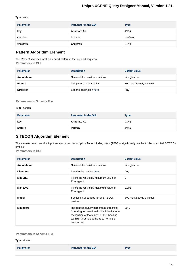#### **Type:** rsite

| <b>Parameter</b> | <b>Parameter in the GUI</b> | <b>Type</b> |
|------------------|-----------------------------|-------------|
| key              | <b>Annotate As</b>          | string      |
| circular         | <b>Circular</b>             | boolean     |
| enzymes          | <b>Enzymes</b>              | string      |

# <span id="page-30-0"></span>**Pattern Algorithm Element**

The element searches for the specified pattern in the supplied sequence.

**Parameters in GUI**

| <b>Parameter</b>   | <b>Description</b>              | Default value             |
|--------------------|---------------------------------|---------------------------|
| <b>Annotate As</b> | Name of the result annotations. | misc feature              |
| <b>Pattern</b>     | The pattern to search for.      | You must specify a value! |
| <b>Direction</b>   | See the description here.       | Any                       |

**Parameters in Schema File**

#### **Type:** search

| <b>Parameter</b> | <b>Parameter in the GUI</b> | <b>Type</b> |
|------------------|-----------------------------|-------------|
| key              | <b>Annotate As</b>          | string      |
| pattern          | <b>Pattern</b>              | string      |

## <span id="page-30-1"></span>**SITECON Algorithm Element**

The element searches the input sequence for transcription factor binding sites (TFBSs) significantly similar to the specified SITECON profiles.

**Parameters in GUI**

| <b>Parameter</b>   | <b>Description</b>                                                                                                                                                                           | Default value             |
|--------------------|----------------------------------------------------------------------------------------------------------------------------------------------------------------------------------------------|---------------------------|
| <b>Annotate As</b> | Name of the result annotations.                                                                                                                                                              | misc feature              |
| <b>Direction</b>   | See the description here.                                                                                                                                                                    | Any                       |
| Min Err1           | Filters the results by minumum value of<br>Error type I.                                                                                                                                     | 0                         |
| Max Err2           | Filters the results by maximum value of<br>Error type II.                                                                                                                                    | 0.001                     |
| <b>Model</b>       | Semicolon-separated list of SITECON<br>profiles.                                                                                                                                             | You must specify a value! |
| Min score          | Recognition quality percentage threshold.<br>Choosing too low threshold will lead you to<br>recognition of too many TFBS. Choosing<br>too high threshold will lead to no TFBS<br>recognized. | 85%                       |

#### **Parameters in Schema File**

**Type:** sitecon

|  | <b>Parameter</b> | <b>Parameter in the GUI</b> | $T$ ype |
|--|------------------|-----------------------------|---------|
|--|------------------|-----------------------------|---------|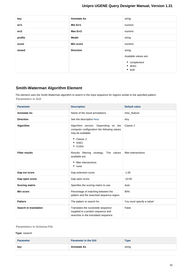| key     | <b>Annotate As</b> | string                                                                                        |
|---------|--------------------|-----------------------------------------------------------------------------------------------|
| err1    | Min Err1           | numeric                                                                                       |
| err2    | Max Err2           | numeric                                                                                       |
| profile | <b>Model</b>       | string                                                                                        |
| score   | Min score          | numeric                                                                                       |
| strand  | <b>Direction</b>   | string<br>Available values are:<br>$\bullet$ complement<br>$\bullet$ direct<br>$\bullet$ both |
|         |                    |                                                                                               |

# <span id="page-31-0"></span>**Smith-Waterman Algorithm Element**

The element uses the Smith-Waterman algorithm to search in the input sequence for regions similar to the specified pattern. **Parameters in GUI**

| <b>Parameter</b>      | <b>Description</b>                                                                                                                                 | <b>Default value</b>      |
|-----------------------|----------------------------------------------------------------------------------------------------------------------------------------------------|---------------------------|
| <b>Annotate As</b>    | Name of the result annotations.                                                                                                                    | misc_feature              |
| <b>Direction</b>      | See the description here.                                                                                                                          | Any                       |
| Algorithm             | Algorithm version. Depending on the<br>computer configuration the following values<br>may be available:<br>• Classic 2<br>$\bullet$ SSE2<br>• CUDA | Classic 2                 |
| <b>Filter results</b> | Results filtering strategy. The values<br>available are:<br>• filter-intersections<br>$•$ none                                                     | filter-intersections      |
| Gap ext score         | Gap extension score.                                                                                                                               | $-1.00$                   |
| Gap open score        | Gap open score.                                                                                                                                    | $-10.00$                  |
| <b>Scoring matrix</b> | Specifies the scoring matrix to use.                                                                                                               | Auto                      |
| Min score             | Percentage of matching between the<br>pattern and the searched sequence region.                                                                    | 90%                       |
| <b>Pattern</b>        | The pattern to search for.                                                                                                                         | You must specify a value! |
| Search in translation | Translates the nucleotide sequence<br>supplied to a protein sequence and<br>searches in the translated sequence.                                   | False                     |

#### **Parameters in Schema File**

#### **Type:** ssearch

| <b>Parameter</b> | <b>Parameter in the GUI</b> | $_{\rm \bf Type}$ |
|------------------|-----------------------------|-------------------|
| kev              | <b>Annotate As</b>          | string            |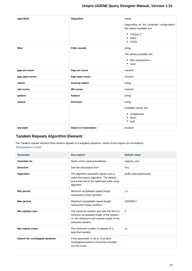| algorithm      | Algorithm             | string<br>Depending on the computer configuration<br>the values available are:<br>• "Classic 2"<br>$\bullet$ SSE2<br>• CUDA |
|----------------|-----------------------|-----------------------------------------------------------------------------------------------------------------------------|
| filter         | <b>Filter results</b> | string<br>The values available are:<br>• filter-intersections<br>$•$ none                                                   |
| gap-ext-score  | Gap ext score         | numeric                                                                                                                     |
| gap-open-score | Gap open score        | numeric                                                                                                                     |
| matrix         | <b>Scoring matrix</b> | string                                                                                                                      |
| min-score      | <b>Min score</b>      | numeric                                                                                                                     |
| pattern        | <b>Pattern</b>        | string                                                                                                                      |
| strand         | <b>Direction</b>      | string<br>Available values are:<br>• complement<br>• direct<br>$\bullet$ both                                               |
| translate      | Search in translation | boolean                                                                                                                     |

# <span id="page-32-0"></span>**Tandem Repeats Algorithm Element**

The Tandem repeats element finds tandem repeats in a supplied sequence, stores found regions as annotations. **Parameters in GUI**

| <b>Parameter</b>              | <b>Description</b>                                                                                                                                        | <b>Default value</b>    |
|-------------------------------|-----------------------------------------------------------------------------------------------------------------------------------------------------------|-------------------------|
| <b>Annotate As</b>            | Name of the result annotations.                                                                                                                           | repeate_unit            |
| <b>Direction</b>              | See the description here.                                                                                                                                 | Any                     |
| Algorithm                     | The algorithm parameter allows one to<br>select the search algorithm. The default<br>and a fast one is the optimized suffix array<br>algorithm.           | Suffix index(optimized) |
| Min period                    | Minimum acceptable repeat length<br>measured in base symbols.                                                                                             | 1n                      |
| <b>Max period</b>             | Maximum acceptable repeat length<br>measured in base symbols.                                                                                             | 1000000 n               |
| Min tandem size               | The minimum tandem size sets the limit on<br>minimum acceptable length of the tandem,<br>i.e. the minimum total repeats length of the<br>searched tandem. | 9                       |
| Min repeat count              | The minimum number of repeats of a<br>searched tandem.                                                                                                    | x3                      |
| Search for overlapped tandems | If this parameter is set to True then<br>overlapped tandems should be included<br>into the result.                                                        |                         |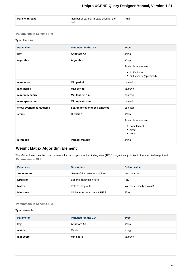| Number of parallel threads used for the<br><b>Parallel threads</b><br>Auto<br>task. |  |
|-------------------------------------------------------------------------------------|--|
|-------------------------------------------------------------------------------------|--|

#### **Parameters in Schema File**

#### **Type:** tandems

| <b>Parameter</b>        | <b>Parameter in the GUI</b>   | <b>Type</b>                                                                     |
|-------------------------|-------------------------------|---------------------------------------------------------------------------------|
| key                     | <b>Annotate As</b>            | string                                                                          |
| algorithm               | Algorithm                     | string<br>Available values are:<br>• Suffix index<br>• Suffix index (optimized) |
| min-period              | Min period                    | numeric                                                                         |
| max-period              | <b>Max period</b>             | numeric                                                                         |
| min-tandem-size         | Min tandem size               | numeric                                                                         |
| min-repeat-count        | Min repeat count              | numeric                                                                         |
| show-overlapped-tandems | Search for overlapped tandems | boolean                                                                         |
| strand                  | <b>Direction</b>              | string<br>Available values are:<br>$\bullet$ complement<br>direct<br>both<br>٠  |
| n-threads               | <b>Parallel threads</b>       | string                                                                          |

# <span id="page-33-0"></span>**Weight Matrix Algorithm Element**

The element searches the input sequence for transcription factor binding sites (TFBSs) significantly similar to the specified weight matrix. **Parameters in GUI**

| <b>Parameter</b>   | <b>Description</b>              | Default value             |
|--------------------|---------------------------------|---------------------------|
| <b>Annotate As</b> | Name of the result annotations. | misc feature              |
| <b>Direction</b>   | See the description here.       | Any                       |
| <b>Matrix</b>      | Path to the profile.            | You must specify a value! |
| Min score          | Minimum score to detect TFBS.   | 85%                       |

#### **Parameters in Schema File**

#### **Type:** wsearch

| <b>Parameter</b> | <b>Parameter in the GUI</b> | <b>Type</b> |
|------------------|-----------------------------|-------------|
| key              | <b>Annotate As</b>          | string      |
| matrix           | <b>Matrix</b>               | string      |
| min-score        | Min score                   | numeric     |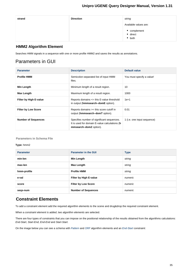| strand | <b>Direction</b> | string                                     |
|--------|------------------|--------------------------------------------|
|        |                  | Available values are:                      |
|        |                  | • complement<br>• direct<br>$\bullet$ both |

## <span id="page-34-0"></span>**HMM2 Algorithm Element**

Searches HMM signals in a sequence with one or more profile HMM2 and saves the results as annotations.

# Parameters in GUI

| <b>Parameter</b>              | <b>Description</b>                                                                                                    | Default value               |
|-------------------------------|-----------------------------------------------------------------------------------------------------------------------|-----------------------------|
| <b>Profile HMM</b>            | Semicolon-separated list of input HMM<br>files.                                                                       | You must specify a value!   |
| Min Length                    | Minimum length of a result region.                                                                                    | 10                          |
| Max Length                    | Maximum length of a result region.                                                                                    | 1000                        |
| <b>Filter by High E-value</b> | Reports domains $\leq$ this E-value threshold<br>in output (hmmsearch-domE option).                                   | $1e+1$                      |
| <b>Filter by Low Score</b>    | Reports domains $>=$ this score cutoff in<br>output (hmmsearch-domT option).                                          | 0.01                        |
| <b>Number of Sequences</b>    | Specifies number of significant sequences.<br>It is used for domain E-value calculations (h<br>mmsearch-domZ option). | 1 (i.e. one input sequence) |

#### **Parameters in Schema File**

#### **Type:** hmm2

| <b>Parameter</b> | <b>Parameter in the GUI</b> | <b>Type</b> |
|------------------|-----------------------------|-------------|
| min-len          | Min Length                  | string      |
| max-len          | Max Length                  | string      |
| hmm-profile      | <b>Profile HMM</b>          | string      |
| e-val            | Filter by High E-value      | numeric     |
| score            | <b>Filter by Low Score</b>  | numeric     |
| segs-num         | <b>Number of Sequences</b>  | numeric     |

# <span id="page-34-1"></span>**Constraint Elements**

To add a constraint element add the required algorithm elements to the scene and drug&drop the required constraint element.

When a constraint element is added, two algorithm elements are selected.

There are four types of constraints that you can impose on the positional relationship of the results obtained from the algorithms calculations: End-Start, Start-End, End-End and Start-Start.

On the image below you can see a schema with [Pattern](#page-30-0) and [ORF](#page-26-0) algorithm elements and an [End-Start](#page-35-0) constraint: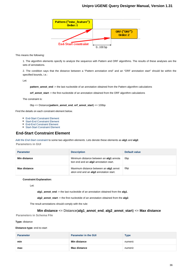

This means the following:

1. The algorithm elements specify to analyze the sequence with Pattern and ORF algorithms. The results of these analyses are the sets of annotations.

2. The condition says that the distance between a "Pattern annotation end" and an "ORF annotation start" should be within the specified bounds, i.e.:

Let:

**pattern\_annot\_end** := the last nucleotide of an annotation obtained from the Pattern algorithm calculations

**orf\_annot\_start** := the first nucleotide of an annotation obtained from the ORF algorithm calculations

The constraint is:

0bp <= Distance(**pattern\_annot\_end**, **orf\_annot\_start**) <= 100bp

Find the details on each constraint element below.

- [End-Start Constraint Element](#page-35-0)
- [Start-End Constraint Element](#page-35-1)
- [End-End Constraint Element](#page-36-0)
- [Start-Start Constraint Element](#page-37-0)

## <span id="page-35-0"></span>**End-Start Constraint Element**

[Add the End-Start constraint](#page-9-1) to some two algorithm elements. Lets denote these elements as **alg1** and **alg2**. **Parameters in GUI**

| <b>Parameter</b> | <b>Description</b>                                                                | Default value   |
|------------------|-----------------------------------------------------------------------------------|-----------------|
| Min distance     | Minimum distance between an alg1 annota<br>tion end and an alg2 annotation start. | 0 <sub>bp</sub> |
| Max distance     | Maximum distance between an alg1 annot<br>ation end and an alg2 annotation start. | 0 <sub>bp</sub> |

#### **Constraint Explanation:**

Let:

**alg1\_annot\_end** := the last nucleotide of an annotation obtained from the **alg1**.

**alg2\_annot\_start** := the first nucleotide of an annotation obtained from the **alg2**.

The result annotations should comply with the rule:

#### **Min distance** <= Distance(**alg1\_annot\_end**, **alg2\_annot\_start**) <= **Max distance**

**Parameters in Schema File**

#### **Type:** distance

**Distance-type:** end-to-start

<span id="page-35-1"></span>

| <b>Parameter</b> | <b>Parameter in the GUI</b> | <b>Type</b> |
|------------------|-----------------------------|-------------|
| min              | <b>Min distance</b>         | numeric     |
| max              | <b>Max distance</b>         | numeric     |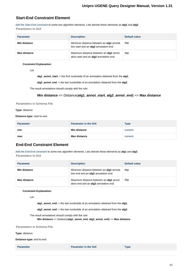## **Start-End Constraint Element**

[Add the Start-End constraint](#page-9-1) to some two algorithm elements. Lets denote these elements as **alg1** and **alg2**. **Parameters in GUI**

| <b>Parameter</b> | <b>Description</b>                                                                | Default value   |
|------------------|-----------------------------------------------------------------------------------|-----------------|
| Min distance     | Minimum distance between an alg1 annota<br>tion start and an alg2 annotation end. | 0 <sub>bp</sub> |
| Max distance     | Maximum distance between an alg1 annot<br>ation start and an alg2 annotation end. | 0 <sub>bp</sub> |

#### **Constraint Explanation:**

Let:

**alg1\_annot\_start** := the first nucleotide of an annotation obtained from the **alg1**.

**alg2\_annot\_end** := the last nucleotide of an annotation obtained from the **alg2**.

The result annotations should comply with the rule:

#### **Min distance** <= Distance(**alg1\_annot\_start**, **alg2\_annot\_end**) <= **Max distance**

**Parameters in Schema File**

#### **Type:** distance

**Distance-type:** start-to-end

| <b>Parameter</b> | <b>Parameter in the GUI</b> | Type    |
|------------------|-----------------------------|---------|
| min              | <b>Min distance</b>         | numeric |
| max              | <b>Max distance</b>         | numeric |

## <span id="page-36-0"></span>**End-End Constraint Element**

[Add the End-End constraint](#page-9-1) to some two algorithm elements. Lets denote these elements as **alg1** and **alg2**. **Parameters in GUI**

| <b>Parameter</b> | <b>Description</b>                                                                     | Default value   |
|------------------|----------------------------------------------------------------------------------------|-----------------|
| Min distance     | Minimum distance between an alg1 annota<br>tion end and an alg2 annotation end.        | 0 <sub>bp</sub> |
| Max distance     | Maximum distance between an <b>alg1</b> annot<br>ation end and an alg2 annotation end. | 0 <sub>bp</sub> |

#### **Constraint Explanation:**

Let:

**alg1\_annot\_end** := the last nucleotide of an annotation obtained from the **alg1**.

**alg2\_annot\_end** := the last nucleotide of an annotation obtained from the **alg2**.

The result annotations should comply with the rule:

**Min distance** <= Distance(**alg1\_annot\_end**, **alg2\_annot\_end**) <= **Max distance**

**Parameters in Schema File**

#### **Type:** distance

**Distance-type:** end-to-end

**Parameter Parameter Parameter** in the GUI **Type**